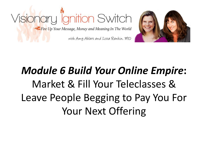



### *Module 6 Build Your Online Empire***:** Market & Fill Your Teleclasses & Leave People Begging to Pay You For Your Next Offering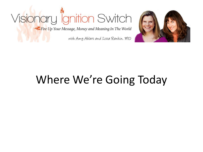Fire Up Your Message, Money and Meaning In The World

with Amy Ahlers and Lissa Rankin, MD



### Where We're Going Today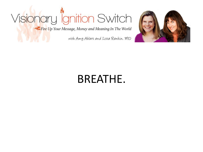Fire Up Your Message, Money and Meaning In The World

with Amy Ahlers and Lissa Rankin. MD



#### BREATHE.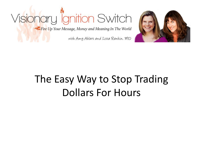Fire Up Your Message, Money and Meaning In The World

with Amy Ahlers and Lissa Rankin, MD



#### The Easy Way to Stop Trading Dollars For Hours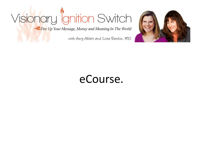Fire Up Your Message, Money and Meaning In The World

with Amy Ahlers and Lissa Rankin. MD



#### eCourse.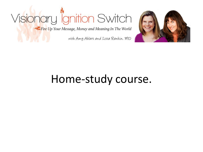Fire Up Your Message, Money and Meaning In The World

with Amy Ahlers and Lissa Rankin, MD



#### Home-study course.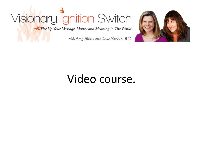Fire Up Your Message, Money and Meaning In The World

with Amy Ahlers and Lissa Rankin. MD



#### Video course.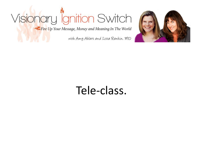Fire Up Your Message, Money and Meaning In The World

with Amy Ahlers and Lissa Rankin. MD



#### Tele-class.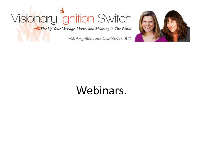Fire Up Your Message, Money and Meaning In The World

with Amy Ahlers and Lissa Rankin. MD



#### Webinars.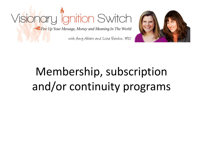



### Membership, subscription and/or continuity programs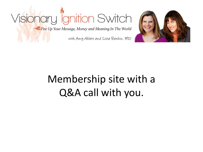Fire Up Your Message, Money and Meaning In The World

with Amy Ahlers and Lissa Rankin, MD



#### Membership site with a Q&A call with you.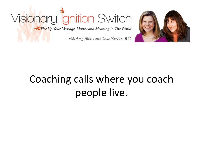Fire Up Your Message, Money and Meaning In The World

with Amy Ahlers and Lissa Rankin, MD



### Coaching calls where you coach people live.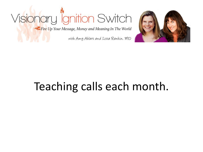Fire Up Your Message, Money and Meaning In The World

with Amy Ahlers and Lissa Rankin. MD



### Teaching calls each month.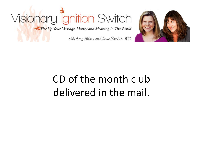Fire Up Your Message, Money and Meaning In The World

with Amy Ahlers and Lissa Rankin. MD



#### CD of the month club delivered in the mail.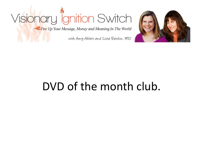Fire Up Your Message, Money and Meaning In The World

with Amy Ahlers and Lissa Rankin, MD



#### DVD of the month club.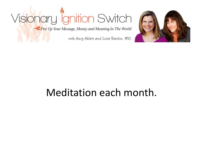Fire Up Your Message, Money and Meaning In The World

with Amy Ahlers and Lissa Rankin, MD



#### Meditation each month.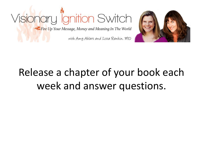



### Release a chapter of your book each week and answer questions.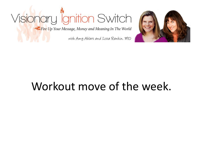Fire Up Your Message, Money and Meaning In The World

with Amy Ahlers and Lissa Rankin, MD



#### Workout move of the week.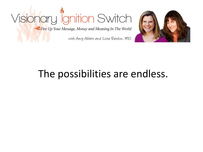Fire Up Your Message, Money and Meaning In The World

with Amy Ahlers and Lissa Rankin. MD



#### The possibilities are endless.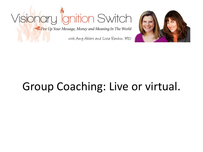Fire Up Your Message, Money and Meaning In The World

with Amy Ahlers and Lissa Rankin. MD



### Group Coaching: Live or virtual.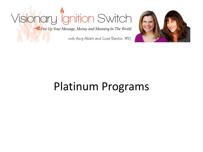Fire Up Your Message, Money and Meaning In The World

with Amy Ahlers and Lissa Rankin, MD



#### Platinum Programs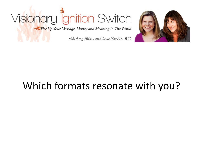Fire Up Your Message, Money and Meaning In The World

with Amy Ahlers and Lissa Rankin, MD



#### Which formats resonate with you?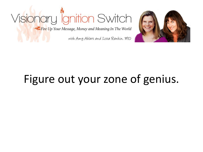Fire Up Your Message, Money and Meaning In The World

with Amy Ahlers and Lissa Rankin, MD



### Figure out your zone of genius.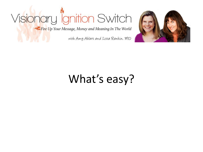Fire Up Your Message, Money and Meaning In The World

with Amy Ahlers and Lissa Rankin, MD



### What's easy?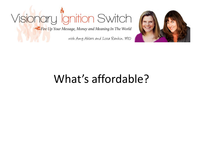Fire Up Your Message, Money and Meaning In The World

with Amy Ahlers and Lissa Rankin, MD



#### What's affordable?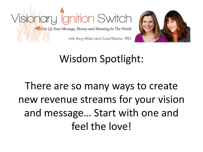



### Wisdom Spotlight:

### There are so many ways to create new revenue streams for your vision and message… Start with one and feel the love!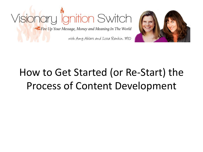



### How to Get Started (or Re-Start) the Process of Content Development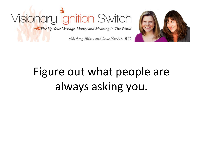



#### with Amy Ahlers and Lissa Rankin, MD

### Figure out what people are always asking you.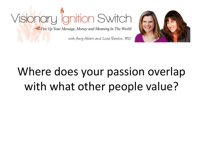



### Where does your passion overlap with what other people value?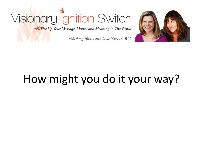Fire Up Your Message, Money and Meaning In The World

with Amy Ahlers and Lissa Rankin. MD



### How might you do it your way?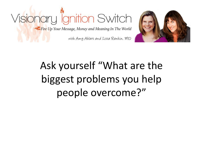



### Ask yourself "What are the biggest problems you help people overcome?"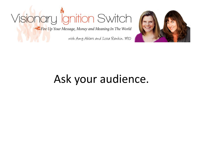Fire Up Your Message, Money and Meaning In The World

with Amy Ahlers and Lissa Rankin, MD



### Ask your audience.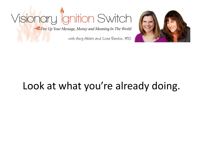Fire Up Your Message, Money and Meaning In The World

with Amy Ahlers and Lissa Rankin. MD



#### Look at what you're already doing.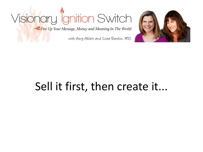Fire Up Your Message, Money and Meaning In The World

with Amy Ahlers and Lissa Rankin. MD



### Sell it first, then create it...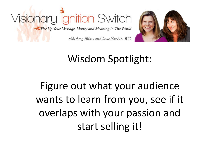



with Amy Ahlers and Lissa Rankin, MD

#### Wisdom Spotlight:

Figure out what your audience wants to learn from you, see if it overlaps with your passion and start selling it!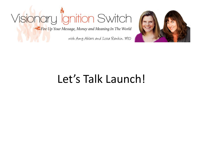Fire Up Your Message, Money and Meaning In The World

with Amy Ahlers and Lissa Rankin, MD



#### Let's Talk Launch!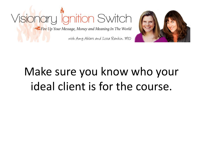



#### Make sure you know who your ideal client is for the course.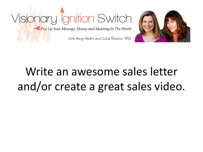



### Write an awesome sales letter and/or create a great sales video.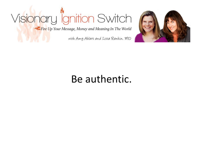Fire Up Your Message, Money and Meaning In The World

with Amy Ahlers and Lissa Rankin. MD



#### Be authentic.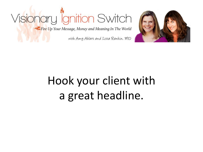Fire Up Your Message, Money and Meaning In The World

with Amy Ahlers and Lissa Rankin. MD



#### Hook your client with a great headline.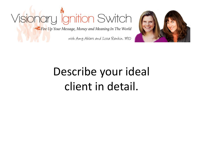Fire Up Your Message, Money and Meaning In The World

with Amy Ahlers and Lissa Rankin. MD



#### Describe your ideal client in detail.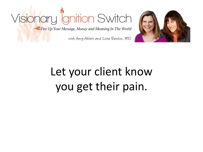

Fire Up Your Message, Money and Meaning In The World

with Amy Ahlers and Lissa Rankin. MD



### Let your client know you get their pain.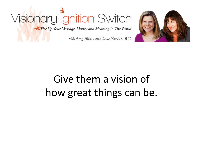Fire Up Your Message, Money and Meaning In The World

with Amy Ahlers and Lissa Rankin. MD



#### Give them a vision of how great things can be.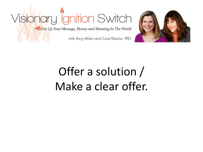

with Amy Ahlers and Lissa Rankin. MD



### Offer a solution / Make a clear offer.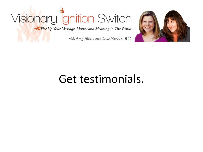Fire Up Your Message, Money and Meaning In The World

with Amy Ahlers and Lissa Rankin, MD



#### Get testimonials.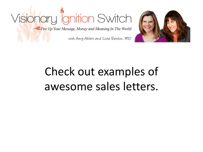

with Amy Ahlers and Lissa Rankin. MD



#### Check out examples of awesome sales letters.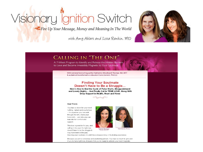### Visionary l<sup>i</sup>gnition Switch

Fire Up Your Message, Money and Meaning In The World

with Amy Ahlers and Lissa Rankin, MD



#### **CALLING IN "THE ONE"**

A 7-Week Program to Identify and Release the Hidden Barriers to Love and Become Irresistibly Magnetic to Your Soulmate

> With national bestselling author Katherine Woodward Thomas, MA, MFT & acclaimed transformative educator Claire Zammit, Ph.D.(c)

#### **Finding Your Soulmate** Doesn't Have to Be a Struggle...

Here's How to End the Cycle of False Starts, Disappointment and Lonely Nights... And Finally Call In TRUE LOVE. Along With Deep Support in Health, Heart and Home



#### Dear Friend,

You have a vision for your most fulfilling, radiant and soulful love - for a partner you can walk through life with, share your home with... and who you can lean into for comfort and support.

This love is possible for you, and calling it into your life right now doesn't have to be the struggle it may have been in the past.



Claire Zammit, Ph.D.(c)

Desiring your soulmate shouldn't be a disappointing or frustrating experience.

Because you are a conscious and awakening person. You have so much to give and if you're here right now, it means that you're ready to activate your most magnetic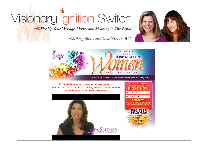Fire Up Your Message, Money and Meaning In The World

with Amy Ahlers and Lissa Rankin, MD



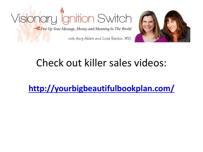



#### Check out killer sales videos:

**<http://yourbigbeautifulbookplan.com/>**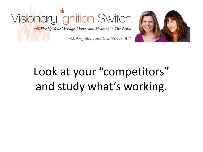



### Look at your "competitors" and study what's working.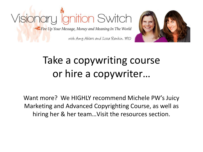#### Visionary ignition Switch Fire Up Your Message, Money and Meaning In The World with Amy Ahlers and Lissa Rankin, MD



Take a copywriting course or hire a copywriter…

Want more? We HIGHLY recommend Michele PW's Juicy Marketing and Advanced Copyrighting Course, as well as hiring her & her team…Visit the resources section.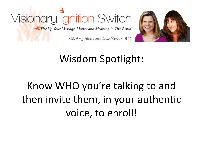



#### Wisdom Spotlight:

#### Know WHO you're talking to and then invite them, in your authentic voice, to enroll!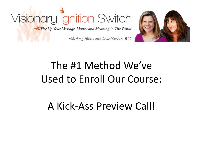



#### The #1 Method We've Used to Enroll Our Course:

#### A Kick-Ass Preview Call!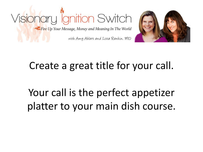



#### Create a great title for your call.

Your call is the perfect appetizer platter to your main dish course.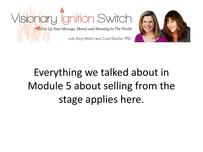



#### Everything we talked about in Module 5 about selling from the stage applies here.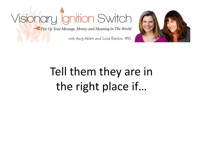

with Amy Ahlers and Lissa Rankin. MD



### Tell them they are in the right place if…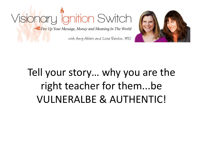



#### Tell your story… why you are the right teacher for them...be VULNERALBE & AUTHENTIC!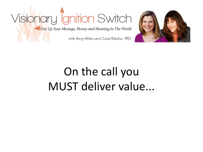Fire Up Your Message, Money and Meaning In The World

with Amy Ahlers and Lissa Rankin. MD



#### On the call you MUST deliver value...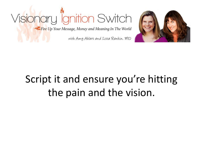



### Script it and ensure you're hitting the pain and the vision.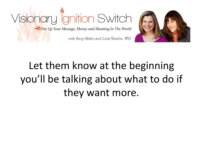



#### Let them know at the beginning you'll be talking about what to do if they want more.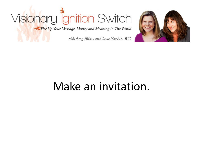Fire Up Your Message, Money and Meaning In The World

with Amy Ahlers and Lissa Rankin, MD



#### Make an invitation.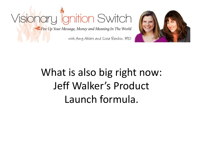



#### What is also big right now: Jeff Walker's Product Launch formula.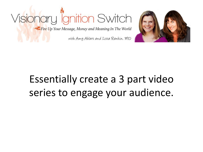



#### Essentially create a 3 part video series to engage your audience.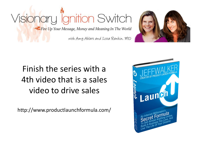



#### Finish the series with a 4th video that is a sales video to drive sales

http://www.productlaunchformula.com/

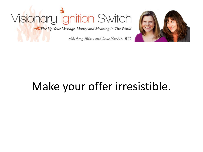Fire Up Your Message, Money and Meaning In The World

with Amy Ahlers and Lissa Rankin, MD



#### Make your offer irresistible.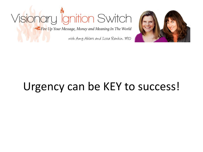Fire Up Your Message, Money and Meaning In The World

with Amy Ahlers and Lissa Rankin, MD



#### Urgency can be KEY to success!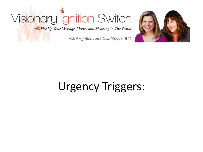Fire Up Your Message, Money and Meaning In The World

with Amy Ahlers and Lissa Rankin, MD



#### Urgency Triggers: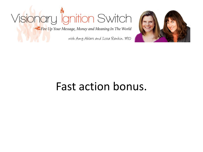Fire Up Your Message, Money and Meaning In The World

with Amy Ahlers and Lissa Rankin, MD



#### Fast action bonus.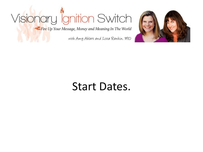Fire Up Your Message, Money and Meaning In The World

with Amy Ahlers and Lissa Rankin. MD



#### Start Dates.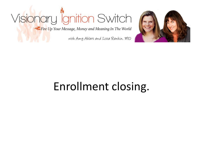Fire Up Your Message, Money and Meaning In The World

with Amy Ahlers and Lissa Rankin, MD



#### Enrollment closing.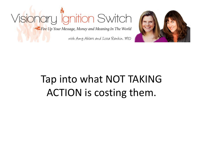Fire Up Your Message, Money and Meaning In The World

with Amy Ahlers and Lissa Rankin. MD



#### Tap into what NOT TAKING ACTION is costing them.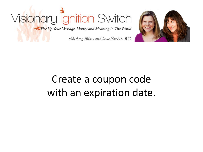Fire Up Your Message, Money and Meaning In The World

with Amy Ahlers and Lissa Rankin. MD



#### Create a coupon code with an expiration date.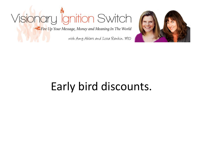Fire Up Your Message, Money and Meaning In The World

with Amy Ahlers and Lissa Rankin, MD



### Early bird discounts.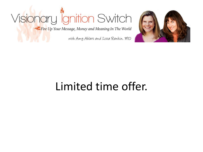Fire Up Your Message, Money and Meaning In The World

with Amy Ahlers and Lissa Rankin, MD



### Limited time offer.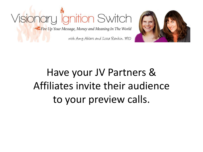



### Have your JV Partners & Affiliates invite their audience to your preview calls.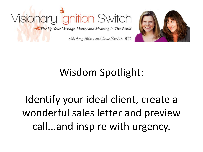



### Wisdom Spotlight:

Identify your ideal client, create a wonderful sales letter and preview call...and inspire with urgency.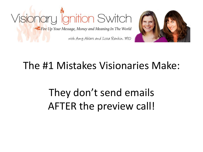



#### The #1 Mistakes Visionaries Make:

They don't send emails AFTER the preview call!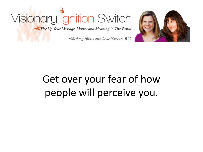Fire Up Your Message, Money and Meaning In The World

with Amy Ahlers and Lissa Rankin, MD



### Get over your fear of how people will perceive you.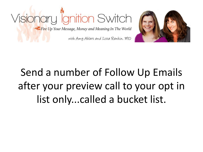



### Send a number of Follow Up Emails after your preview call to your opt in list only...called a bucket list.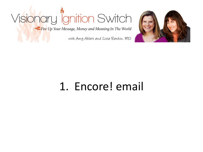Fire Up Your Message, Money and Meaning In The World

with Amy Ahlers and Lissa Rankin, MD



### 1. Encore! email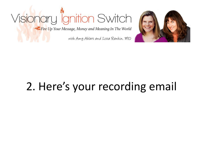Fire Up Your Message, Money and Meaning In The World

with Amy Ahlers and Lissa Rankin, MD



### 2. Here's your recording email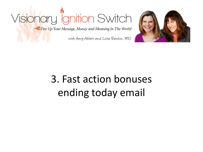Fire Up Your Message, Money and Meaning In The World

with Amy Ahlers and Lissa Rankin. MD



### 3. Fast action bonuses ending today email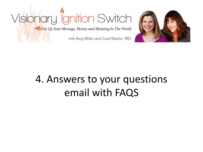

with Amy Ahlers and Lissa Rankin. MD



#### 4. Answers to your questions email with FAQS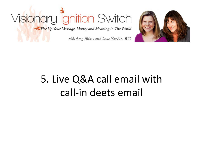Fire Up Your Message, Money and Meaning In The World

with Amy Ahlers and Lissa Rankin. MD



### 5. Live Q&A call email with call-in deets email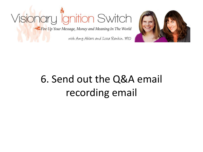Fire Up Your Message, Money and Meaning In The World

with Amy Ahlers and Lissa Rankin. MD



### 6. Send out the Q&A email recording email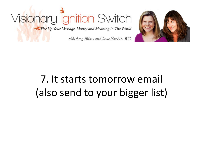

with Amy Ahlers and Lissa Rankin. MD



### 7. It starts tomorrow email (also send to your bigger list)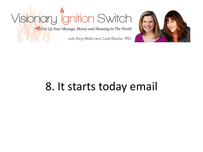Fire Up Your Message, Money and Meaning In The World

with Amy Ahlers and Lissa Rankin, MD



### 8. It starts today email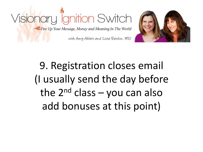



9. Registration closes email (I usually send the day before the  $2^{nd}$  class – you can also add bonuses at this point)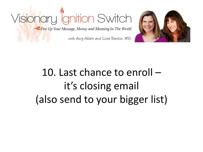



### 10. Last chance to enroll – it's closing email (also send to your bigger list)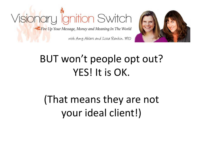Fire Up Your Message, Money and Meaning In The World



with Amy Ahlers and Lissa Rankin, MD

### BUT won't people opt out? YES! It is OK.

### (That means they are not your ideal client!)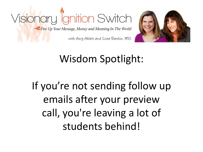### Visionary Ignition Switch Fire Up Your Message, Money and Meaning In The World



with Amy Ahlers and Lissa Rankin. MD

### Wisdom Spotlight:

### If you're not sending follow up emails after your preview call, you're leaving a lot of students behind!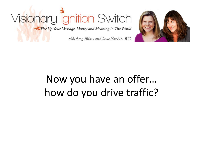Fire Up Your Message, Money and Meaning In The World

with Amy Ahlers and Lissa Rankin. MD



### Now you have an offer… how do you drive traffic?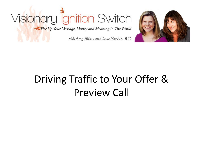Fire Up Your Message, Money and Meaning In The World

with Amy Ahlers and Lissa Rankin. MD



### Driving Traffic to Your Offer & Preview Call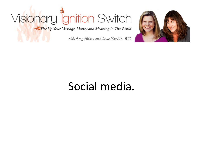Fire Up Your Message, Money and Meaning In The World

with Amy Ahlers and Lissa Rankin, MD



#### Social media.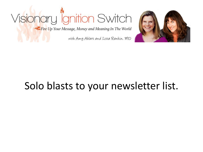Fire Up Your Message, Money and Meaning In The World

with Amy Ahlers and Lissa Rankin, MD



#### Solo blasts to your newsletter list.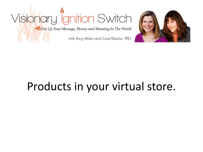Fire Up Your Message, Money and Meaning In The World

with Amy Ahlers and Lissa Rankin, MD



### Products in your virtual store.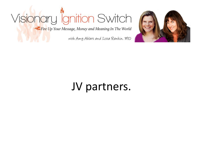Fire Up Your Message, Money and Meaning In The World

with Amy Ahlers and Lissa Rankin. MD



### JV partners.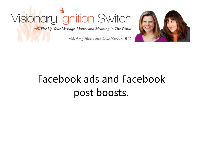Fire Up Your Message, Money and Meaning In The World

with Amy Ahlers and Lissa Rankin. MD



### Facebook ads and Facebook post boosts.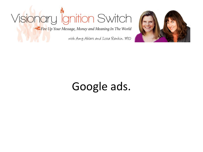Fire Up Your Message, Money and Meaning In The World

with Amy Ahlers and Lissa Rankin, MD



### Google ads.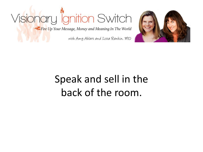Fire Up Your Message, Money and Meaning In The World

with Amy Ahlers and Lissa Rankin. MD



### Speak and sell in the back of the room.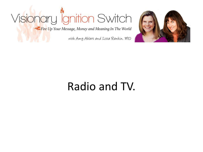Fire Up Your Message, Money and Meaning In The World

with Amy Ahlers and Lissa Rankin, MD



### Radio and TV.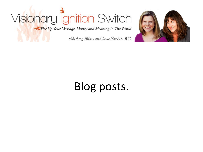Fire Up Your Message, Money and Meaning In The World

with Amy Ahlers and Lissa Rankin. MD



### Blog posts.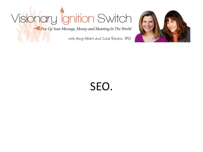Fire Up Your Message, Money and Meaning In The World

with Amy Ahlers and Lissa Rankin, MD



SEO.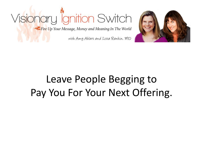

with Amy Ahlers and Lissa Rankin, MD



### Leave People Begging to Pay You For Your Next Offering.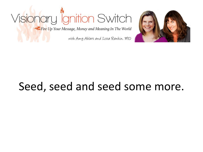Fire Up Your Message, Money and Meaning In The World

with Amy Ahlers and Lissa Rankin, MD



### Seed, seed and seed some more.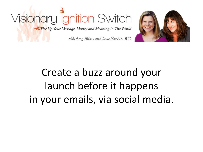



### Create a buzz around your launch before it happens in your emails, via social media.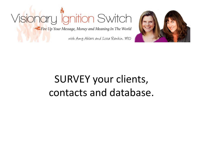Fire Up Your Message, Money and Meaning In The World

with Amy Ahlers and Lissa Rankin, MD



### SURVEY your clients, contacts and database.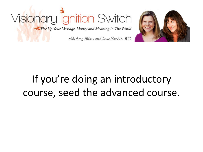



### If you're doing an introductory course, seed the advanced course.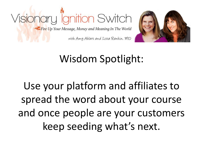



### Wisdom Spotlight:

Use your platform and affiliates to spread the word about your course and once people are your customers keep seeding what's next.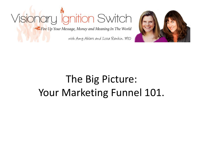Fire Up Your Message, Money and Meaning In The World

with Amy Ahlers and Lissa Rankin. MD



#### The Big Picture: Your Marketing Funnel 101.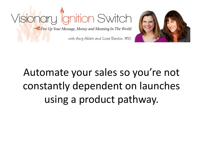



### Automate your sales so you're not constantly dependent on launches using a product pathway.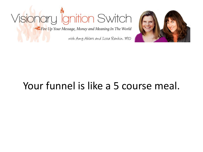Fire Up Your Message, Money and Meaning In The World

with Amy Ahlers and Lissa Rankin, MD



#### Your funnel is like a 5 course meal.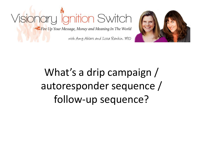



### What's a drip campaign / autoresponder sequence / follow-up sequence?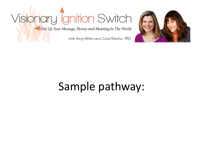Fire Up Your Message, Money and Meaning In The World

with Amy Ahlers and Lissa Rankin, MD



### Sample pathway: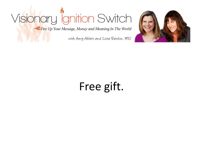Fire Up Your Message, Money and Meaning In The World

with Amy Ahlers and Lissa Rankin. MD



### Free gift.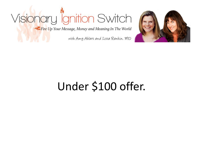Fire Up Your Message, Money and Meaning In The World

with Amy Ahlers and Lissa Rankin, MD



### Under \$100 offer.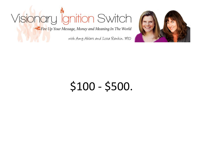Fire Up Your Message, Money and Meaning In The World

with Amy Ahlers and Lissa Rankin. MD



### \$100 - \$500.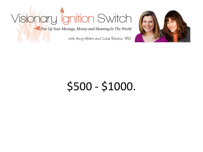Fire Up Your Message, Money and Meaning In The World

with Amy Ahlers and Lissa Rankin, MD



### \$500 - \$1000.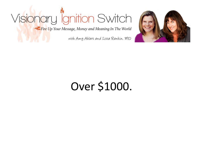Fire Up Your Message, Money and Meaning In The World

with Amy Ahlers and Lissa Rankin, MD



### Over \$1000.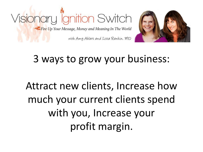



#### 3 ways to grow your business:

### Attract new clients, Increase how much your current clients spend with you, Increase your profit margin.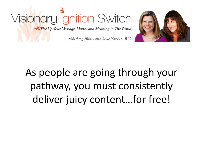



### As people are going through your pathway, you must consistently deliver juicy content…for free!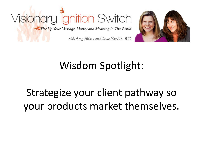



### Wisdom Spotlight:

#### Strategize your client pathway so your products market themselves.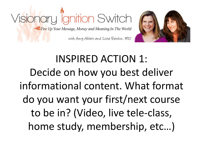



### INSPIRED ACTION 1: Decide on how you best deliver informational content. What format do you want your first/next course to be in? (Video, live tele-class, home study, membership, etc…)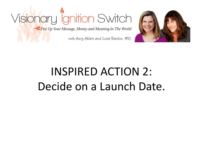

with Amy Ahlers and Lissa Rankin, MD



### INSPIRED ACTION 2: Decide on a Launch Date.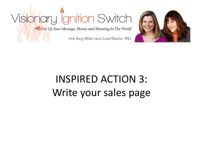Fire Up Your Message, Money and Meaning In The World

with Amy Ahlers and Lissa Rankin, MD



### INSPIRED ACTION 3: Write your sales page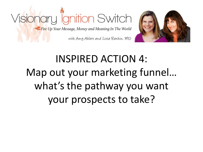



### INSPIRED ACTION 4: Map out your marketing funnel… what's the pathway you want your prospects to take?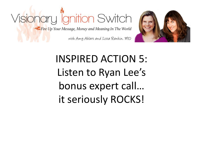#### Visionary lignition Switch Fire Up Your Message, Money and Meaning In The World



with Amy Ahlers and Lissa Rankin, MD

### INSPIRED ACTION 5: Listen to Ryan Lee's bonus expert call… it seriously ROCKS!